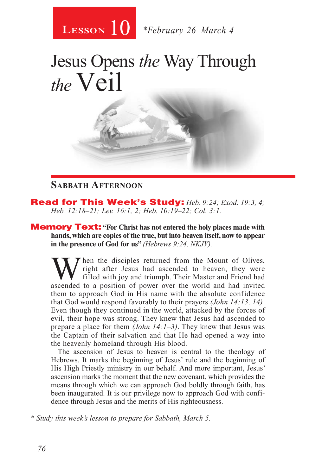

# Jesus Opens *the* Way Through *the*Veil

#### **Sabbath Afternoon**

Read for This Week's Study: *Heb. 9:24; Exod. 19:3, 4; Heb. 12:18–21; Lev. 16:1, 2; Heb. 10:19–22; Col. 3:1.*

**Memory Text:** "For Christ has not entered the holy places made with **hands, which are copies of the true, but into heaven itself, now to appear in the presence of God for us"** *(Hebrews 9:24, NKJV).*

When the disciples returned from the Mount of Olives,<br>right after Jesus had ascended to heaven, they were<br>filled with joy and triumph. Their Master and Friend had<br>ascended to a position of power over the world and had invi right after Jesus had ascended to heaven, they were filled with joy and triumph. Their Master and Friend had ascended to a position of power over the world and had invited them to approach God in His name with the absolute confidence that God would respond favorably to their prayers *(John 14:13, 14)*. Even though they continued in the world, attacked by the forces of evil, their hope was strong. They knew that Jesus had ascended to prepare a place for them *(John 14:1–3)*. They knew that Jesus was the Captain of their salvation and that He had opened a way into the heavenly homeland through His blood.

The ascension of Jesus to heaven is central to the theology of Hebrews. It marks the beginning of Jesus' rule and the beginning of His High Priestly ministry in our behalf. And more important, Jesus' ascension marks the moment that the new covenant, which provides the means through which we can approach God boldly through faith, has been inaugurated. It is our privilege now to approach God with confidence through Jesus and the merits of His righteousness.

*\* Study this week's lesson to prepare for Sabbath, March 5.*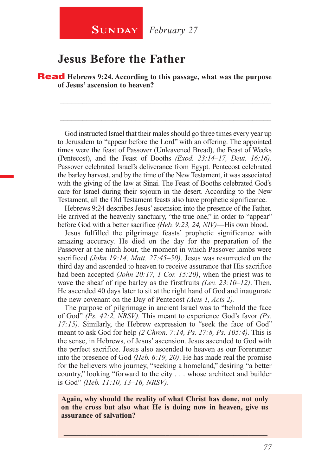### **Jesus Before the Father**

Read **Hebrews 9:24. According to this passage, what was the purpose of Jesus' ascension to heaven?**

God instructed Israel that their males should go three times every year up to Jerusalem to "appear before the Lord" with an offering. The appointed times were the feast of Passover (Unleavened Bread), the Feast of Weeks (Pentecost), and the Feast of Booths *(Exod. 23:14–17, Deut. 16:16)*. Passover celebrated Israel's deliverance from Egypt. Pentecost celebrated the barley harvest, and by the time of the New Testament, it was associated with the giving of the law at Sinai. The Feast of Booths celebrated God's care for Israel during their sojourn in the desert. According to the New Testament, all the Old Testament feasts also have prophetic significance.

\_\_\_\_\_\_\_\_\_\_\_\_\_\_\_\_\_\_\_\_\_\_\_\_\_\_\_\_\_\_\_\_\_\_\_\_\_\_\_\_\_\_\_\_\_\_\_\_\_\_\_\_\_\_\_\_

\_\_\_\_\_\_\_\_\_\_\_\_\_\_\_\_\_\_\_\_\_\_\_\_\_\_\_\_\_\_\_\_\_\_\_\_\_\_\_\_\_\_\_\_\_\_\_\_\_\_\_\_\_\_\_\_

Hebrews 9:24 describes Jesus' ascension into the presence of the Father. He arrived at the heavenly sanctuary, "the true one," in order to "appear" before God with a better sacrifice *(Heb. 9:23, 24, NIV)*—His own blood.

Jesus fulfilled the pilgrimage feasts' prophetic significance with amazing accuracy. He died on the day for the preparation of the Passover at the ninth hour, the moment in which Passover lambs were sacrificed *(John 19:14, Matt. 27:45–50)*. Jesus was resurrected on the third day and ascended to heaven to receive assurance that His sacrifice had been accepted *(John 20:17, 1 Cor. 15:20)*, when the priest was to wave the sheaf of ripe barley as the firstfruits *(Lev. 23:10–12)*. Then, He ascended 40 days later to sit at the right hand of God and inaugurate the new covenant on the Day of Pentecost *(Acts 1, Acts 2)*.

The purpose of pilgrimage in ancient Israel was to "behold the face of God" *(Ps. 42:2, NRSV).* This meant to experience God's favor *(Ps. 17:15)*. Similarly, the Hebrew expression to "seek the face of God" meant to ask God for help *(2 Chron. 7:14, Ps. 27:8, Ps. 105:4)*. This is the sense, in Hebrews, of Jesus' ascension. Jesus ascended to God with the perfect sacrifice. Jesus also ascended to heaven as our Forerunner into the presence of God *(Heb. 6:19, 20)*. He has made real the promise for the believers who journey, "seeking a homeland," desiring "a better country," looking "forward to the city . . . whose architect and builder is God" *(Heb. 11:10, 13–16, NRSV)*.

**Again, why should the reality of what Christ has done, not only on the cross but also what He is doing now in heaven, give us assurance of salvation?**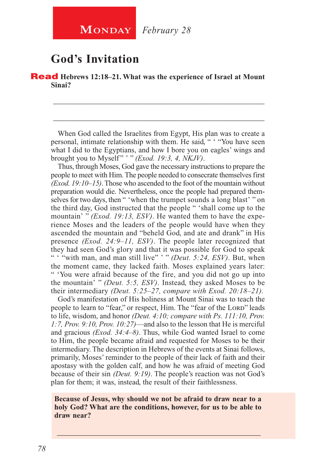## **God's Invitation**

Read **Hebrews 12:18–21. What was the experience of Israel at Mount Sinai?**

When God called the Israelites from Egypt, His plan was to create a personal, intimate relationship with them. He said, " ' "You have seen what I did to the Egyptians, and how I bore you on eagles' wings and brought you to Myself " ' " *(Exod. 19:3, 4, NKJV)*.

\_\_\_\_\_\_\_\_\_\_\_\_\_\_\_\_\_\_\_\_\_\_\_\_\_\_\_\_\_\_\_\_\_\_\_\_\_\_\_\_\_\_\_\_\_\_\_\_\_\_\_\_\_\_\_\_

\_\_\_\_\_\_\_\_\_\_\_\_\_\_\_\_\_\_\_\_\_\_\_\_\_\_\_\_\_\_\_\_\_\_\_\_\_\_\_\_\_\_\_\_\_\_\_\_\_\_\_\_\_\_\_\_

Thus, through Moses, God gave the necessary instructions to prepare the people to meet with Him. The people needed to consecrate themselves first *(Exod. 19:10–15)*. Those who ascended to the foot of the mountain without preparation would die. Nevertheless, once the people had prepared themselves for two days, then " 'when the trumpet sounds a long blast' " on the third day, God instructed that the people " 'shall come up to the mountain' " *(Exod. 19:13, ESV)*. He wanted them to have the experience Moses and the leaders of the people would have when they ascended the mountain and "beheld God, and ate and drank" in His presence *(Exod. 24:9–11, ESV)*. The people later recognized that they had seen God's glory and that it was possible for God to speak " "with man, and man still live" '" *(Deut. 5:24, ESV)*. But, when the moment came, they lacked faith. Moses explained years later: " 'You were afraid because of the fire, and you did not go up into the mountain' " *(Deut. 5:5, ESV)*. Instead, they asked Moses to be their intermediary *(Deut. 5:25–27, compare with Exod. 20:18–21).*

God's manifestation of His holiness at Mount Sinai was to teach the people to learn to "fear," or respect, Him. The "fear of the LORD" leads to life, wisdom, and honor *(Deut. 4:10; compare with Ps. 111:10, Prov. 1:7, Prov. 9:10, Prov. 10:27)*—and also to the lesson that He is merciful and gracious *(Exod. 34:4–8)*. Thus, while God wanted Israel to come to Him, the people became afraid and requested for Moses to be their intermediary. The description in Hebrews of the events at Sinai follows, primarily, Moses' reminder to the people of their lack of faith and their apostasy with the golden calf, and how he was afraid of meeting God because of their sin *(Deut. 9:19)*. The people's reaction was not God's plan for them; it was, instead, the result of their faithlessness.

**Because of Jesus, why should we not be afraid to draw near to a holy God? What are the conditions, however, for us to be able to draw near?**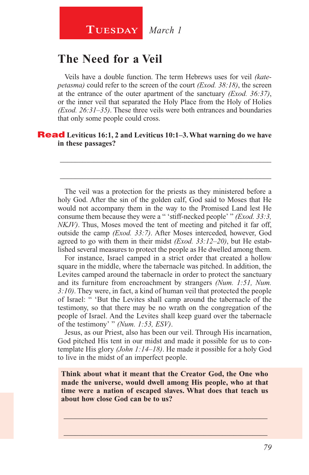#### **Tuesday** *March 1*

#### **The Need for a Veil**

Veils have a double function. The term Hebrews uses for veil *(katepetasma)* could refer to the screen of the court *(Exod. 38:18)*, the screen at the entrance of the outer apartment of the sanctuary *(Exod. 36:37)*, or the inner veil that separated the Holy Place from the Holy of Holies *(Exod. 26:31–35)*. These three veils were both entrances and boundaries that only some people could cross.

#### Read **Leviticus 16:1, 2 and Leviticus 10:1–3. What warning do we have in these passages?**

The veil was a protection for the priests as they ministered before a holy God. After the sin of the golden calf, God said to Moses that He would not accompany them in the way to the Promised Land lest He consume them because they were a " 'stiff-necked people' " *(Exod. 33:3, NKJV)*. Thus, Moses moved the tent of meeting and pitched it far off, outside the camp *(Exod. 33:7)*. After Moses interceded, however, God agreed to go with them in their midst *(Exod. 33:12–20)*, but He established several measures to protect the people as He dwelled among them.

\_\_\_\_\_\_\_\_\_\_\_\_\_\_\_\_\_\_\_\_\_\_\_\_\_\_\_\_\_\_\_\_\_\_\_\_\_\_\_\_\_\_\_\_\_\_\_\_\_\_\_\_\_\_\_\_

\_\_\_\_\_\_\_\_\_\_\_\_\_\_\_\_\_\_\_\_\_\_\_\_\_\_\_\_\_\_\_\_\_\_\_\_\_\_\_\_\_\_\_\_\_\_\_\_\_\_\_\_\_\_\_\_

For instance, Israel camped in a strict order that created a hollow square in the middle, where the tabernacle was pitched. In addition, the Levites camped around the tabernacle in order to protect the sanctuary and its furniture from encroachment by strangers *(Num. 1:51, Num. 3:10)*. They were, in fact, a kind of human veil that protected the people of Israel: " 'But the Levites shall camp around the tabernacle of the testimony, so that there may be no wrath on the congregation of the people of Israel. And the Levites shall keep guard over the tabernacle of the testimony' " *(Num. 1:53, ESV)*.

Jesus, as our Priest, also has been our veil. Through His incarnation, God pitched His tent in our midst and made it possible for us to contemplate His glory *(John 1:14–18)*. He made it possible for a holy God to live in the midst of an imperfect people.

**Think about what it meant that the Creator God, the One who made the universe, would dwell among His people, who at that time were a nation of escaped slaves. What does that teach us about how close God can be to us?**

 $\_$  , and the set of the set of the set of the set of the set of the set of the set of the set of the set of the set of the set of the set of the set of the set of the set of the set of the set of the set of the set of th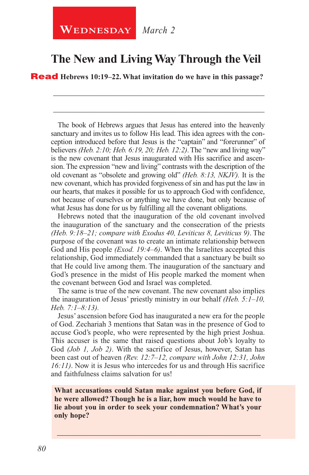## **The New and Living Way Through the Veil**

\_\_\_\_\_\_\_\_\_\_\_\_\_\_\_\_\_\_\_\_\_\_\_\_\_\_\_\_\_\_\_\_\_\_\_\_\_\_\_\_\_\_\_\_\_\_\_\_\_\_\_\_\_\_\_\_

\_\_\_\_\_\_\_\_\_\_\_\_\_\_\_\_\_\_\_\_\_\_\_\_\_\_\_\_\_\_\_\_\_\_\_\_\_\_\_\_\_\_\_\_\_\_\_\_\_\_\_\_\_\_\_\_

Read **Hebrews 10:19–22. What invitation do we have in this passage?**

The book of Hebrews argues that Jesus has entered into the heavenly sanctuary and invites us to follow His lead. This idea agrees with the conception introduced before that Jesus is the "captain" and "forerunner" of believers *(Heb. 2:10; Heb. 6:19, 20; Heb. 12:2)*. The "new and living way" is the new covenant that Jesus inaugurated with His sacrifice and ascension. The expression "new and living" contrasts with the description of the old covenant as "obsolete and growing old" *(Heb. 8:13, NKJV).* It is the new covenant, which has provided forgiveness of sin and has put the law in our hearts, that makes it possible for us to approach God with confidence, not because of ourselves or anything we have done, but only because of what Jesus has done for us by fulfilling all the covenant obligations.

Hebrews noted that the inauguration of the old covenant involved the inauguration of the sanctuary and the consecration of the priests *(Heb. 9:18–21; compare with Exodus 40, Leviticus 8, Leviticus 9)*. The purpose of the covenant was to create an intimate relationship between God and His people *(Exod. 19:4–6)*. When the Israelites accepted this relationship, God immediately commanded that a sanctuary be built so that He could live among them. The inauguration of the sanctuary and God's presence in the midst of His people marked the moment when the covenant between God and Israel was completed.

The same is true of the new covenant. The new covenant also implies the inauguration of Jesus' priestly ministry in our behalf *(Heb. 5:1–10, Heb. 7:1–8:13).*

Jesus' ascension before God has inaugurated a new era for the people of God. Zechariah 3 mentions that Satan was in the presence of God to accuse God's people, who were represented by the high priest Joshua. This accuser is the same that raised questions about Job's loyalty to God *(Job 1, Job 2)*. With the sacrifice of Jesus, however, Satan has been cast out of heaven *(Rev. 12:7–12, compare with John 12:31, John 16:11)*. Now it is Jesus who intercedes for us and through His sacrifice and faithfulness claims salvation for us!

**What accusations could Satan make against you before God, if he were allowed? Though he is a liar, how much would he have to lie about you in order to seek your condemnation? What's your only hope?**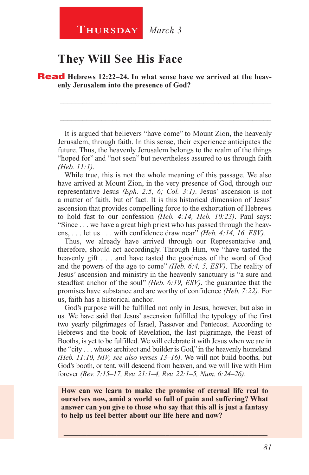#### **They Will See His Face**

**Read** Hebrews 12:22–24. In what sense have we arrived at the heav**enly Jerusalem into the presence of God?**

It is argued that believers "have come" to Mount Zion, the heavenly Jerusalem, through faith. In this sense, their experience anticipates the future. Thus, the heavenly Jerusalem belongs to the realm of the things "hoped for" and "not seen" but nevertheless assured to us through faith *(Heb. 11:1)*.

\_\_\_\_\_\_\_\_\_\_\_\_\_\_\_\_\_\_\_\_\_\_\_\_\_\_\_\_\_\_\_\_\_\_\_\_\_\_\_\_\_\_\_\_\_\_\_\_\_\_\_\_\_\_\_\_

\_\_\_\_\_\_\_\_\_\_\_\_\_\_\_\_\_\_\_\_\_\_\_\_\_\_\_\_\_\_\_\_\_\_\_\_\_\_\_\_\_\_\_\_\_\_\_\_\_\_\_\_\_\_\_\_

While true, this is not the whole meaning of this passage. We also have arrived at Mount Zion, in the very presence of God, through our representative Jesus *(Eph. 2:5, 6; Col. 3:1)*. Jesus' ascension is not a matter of faith, but of fact. It is this historical dimension of Jesus' ascension that provides compelling force to the exhortation of Hebrews to hold fast to our confession *(Heb. 4:14, Heb. 10:23)*. Paul says: "Since . . . we have a great high priest who has passed through the heavens, . . . let us . . . with confidence draw near" *(Heb. 4:14, 16, ESV)*.

Thus, we already have arrived through our Representative and, therefore, should act accordingly. Through Him, we "have tasted the heavenly gift . . . and have tasted the goodness of the word of God and the powers of the age to come" *(Heb. 6:4, 5, ESV)*. The reality of Jesus' ascension and ministry in the heavenly sanctuary is "a sure and steadfast anchor of the soul" *(Heb. 6:19, ESV)*, the guarantee that the promises have substance and are worthy of confidence *(Heb. 7:22)*. For us, faith has a historical anchor.

God's purpose will be fulfilled not only in Jesus, however, but also in us. We have said that Jesus' ascension fulfilled the typology of the first two yearly pilgrimages of Israel, Passover and Pentecost. According to Hebrews and the book of Revelation, the last pilgrimage, the Feast of Booths, is yet to be fulfilled. We will celebrate it with Jesus when we are in the "city . . . whose architect and builder is God," in the heavenly homeland *(Heb. 11:10, NIV; see also verses 13–16)*. We will not build booths, but God's booth, or tent, will descend from heaven, and we will live with Him forever *(Rev. 7:15–17, Rev. 21:1–4, Rev. 22:1–5, Num. 6:24–26)*.

**How can we learn to make the promise of eternal life real to ourselves now, amid a world so full of pain and suffering? What answer can you give to those who say that this all is just a fantasy to help us feel better about our life here and now?**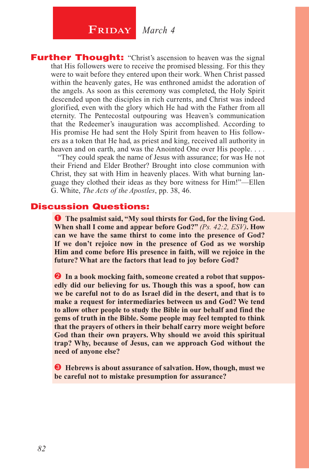## $\begin{array}{|c|c|c|}\n\hline\n\textbf{FRIDAY} & \textit{March 4}\n\end{array}$

**Further Thought:** "Christ's ascension to heaven was the signal that His followers were to receive the promised blessing. For this they were to wait before they entered upon their work. When Christ passed within the heavenly gates, He was enthroned amidst the adoration of the angels. As soon as this ceremony was completed, the Holy Spirit descended upon the disciples in rich currents, and Christ was indeed glorified, even with the glory which He had with the Father from all eternity. The Pentecostal outpouring was Heaven's communication that the Redeemer's inauguration was accomplished. According to His promise He had sent the Holy Spirit from heaven to His followers as a token that He had, as priest and king, received all authority in heaven and on earth, and was the Anointed One over His people. . . .

"They could speak the name of Jesus with assurance; for was He not their Friend and Elder Brother? Brought into close communion with Christ, they sat with Him in heavenly places. With what burning language they clothed their ideas as they bore witness for Him!"—Ellen G. White, *The Acts of the Apostles*, pp. 38, 46.

#### Discussion Questions:

**O** The psalmist said, "My soul thirsts for God, for the living God. **When shall I come and appear before God?"** *(Ps. 42:2, ESV)***. How can we have the same thirst to come into the presence of God? If we don't rejoice now in the presence of God as we worship Him and come before His presence in faith, will we rejoice in the future? What are the factors that lead to joy before God?**

 **In a book mocking faith, someone created a robot that supposedly did our believing for us. Though this was a spoof, how can we be careful not to do as Israel did in the desert, and that is to make a request for intermediaries between us and God? We tend to allow other people to study the Bible in our behalf and find the gems of truth in the Bible. Some people may feel tempted to think that the prayers of others in their behalf carry more weight before God than their own prayers. Why should we avoid this spiritual trap? Why, because of Jesus, can we approach God without the need of anyone else?**

 **Hebrews is about assurance of salvation. How, though, must we be careful not to mistake presumption for assurance?**